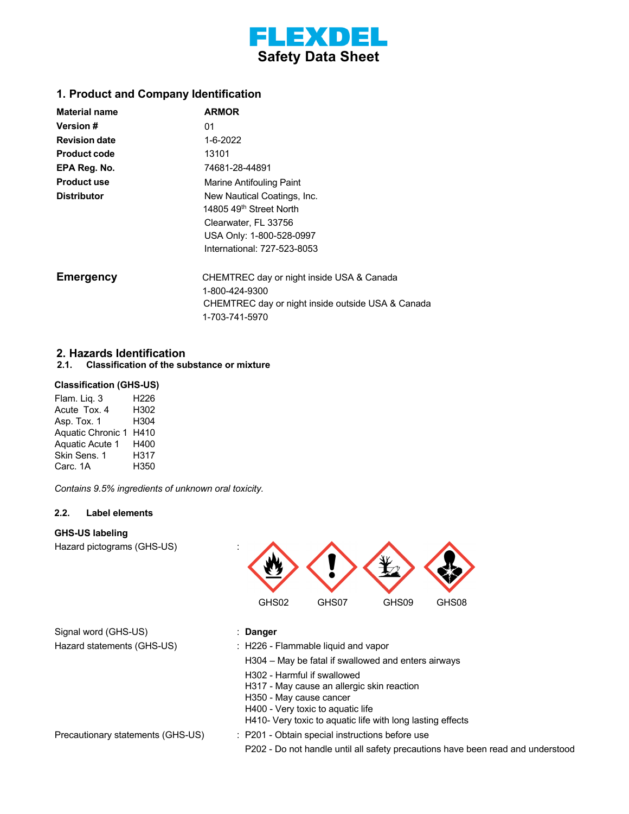

## **1. Product and Company Identification**

| <b>Material name</b> | <b>ARMOR</b>                                      |
|----------------------|---------------------------------------------------|
| <b>Version #</b>     | 01                                                |
| <b>Revision date</b> | $1 - 6 - 2022$                                    |
| <b>Product code</b>  | 13101                                             |
| EPA Reg. No.         | 74681-28-44891                                    |
| <b>Product use</b>   | Marine Antifouling Paint                          |
| <b>Distributor</b>   | New Nautical Coatings, Inc.                       |
|                      | 14805 49 <sup>th</sup> Street North               |
|                      | Clearwater, FL 33756                              |
|                      | USA Only: 1-800-528-0997                          |
|                      | International: 727-523-8053                       |
| <b>Emergency</b>     | CHEMTREC day or night inside USA & Canada         |
|                      | 1-800-424-9300                                    |
|                      | CHEMTREC day or night inside outside USA & Canada |
|                      | 1-703-741-5970                                    |

### **2. Hazards Identification**

**2.1. Classification of the substance or mixture**

### **Classification (GHS-US)**

| Flam. Liq. 3             | H226 |
|--------------------------|------|
| Acute Tox. 4             | H302 |
| Asp. Tox. 1              | H304 |
| <b>Aguatic Chronic 1</b> | H410 |
| <b>Aquatic Acute 1</b>   | H400 |
| Skin Sens. 1             | H317 |
| Carc. 1A                 | H350 |

 *Contains 9.5% ingredients of unknown oral toxicity.*

#### **2.2. Label elements**

#### **GHS-US labeling**

Hazard pictograms (GHS-US) :



| Signal word (GHS-US)       |  |
|----------------------------|--|
| Hazard statements (GHS-US) |  |

#### Signal word (GHS-US) : **Danger**

: H226 - Flammable liquid and vapor

H304 – May be fatal if swallowed and enters airways

H302 - Harmful if swallowed

H317 - May cause an allergic skin reaction

H350 - May cause cancer

H400 - Very toxic to aquatic life

H410- Very toxic to aquatic life with long lasting effects

Precautionary statements (GHS-US) : P201 - Obtain special instructions before use

P202 - Do not handle until all safety precautions have been read and understood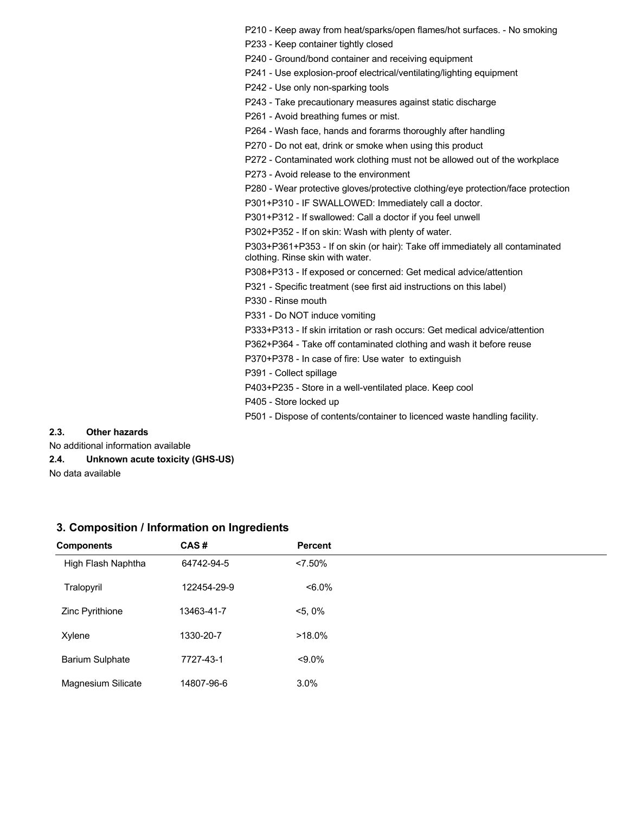P210 - Keep away from heat/sparks/open flames/hot surfaces. - No smoking

P233 - Keep container tightly closed

P240 - Ground/bond container and receiving equipment

P241 - Use explosion-proof electrical/ventilating/lighting equipment

P242 - Use only non-sparking tools

P243 - Take precautionary measures against static discharge

P261 - Avoid breathing fumes or mist.

P264 - Wash face, hands and forarms thoroughly after handling

P270 - Do not eat, drink or smoke when using this product

P272 - Contaminated work clothing must not be allowed out of the workplace

P273 - Avoid release to the environment

P280 - Wear protective gloves/protective clothing/eye protection/face protection

P301+P310 - IF SWALLOWED: Immediately call a doctor.

P301+P312 - If swallowed: Call a doctor if you feel unwell

P302+P352 - If on skin: Wash with plenty of water.

P303+P361+P353 - If on skin (or hair): Take off immediately all contaminated clothing. Rinse skin with water.

P308+P313 - If exposed or concerned: Get medical advice/attention

P321 - Specific treatment (see first aid instructions on this label)

P330 - Rinse mouth

P331 - Do NOT induce vomiting

P333+P313 - If skin irritation or rash occurs: Get medical advice/attention

P362+P364 - Take off contaminated clothing and wash it before reuse

P370+P378 - In case of fire: Use water to extinguish

P391 - Collect spillage

P403+P235 - Store in a well-ventilated place. Keep cool

P405 - Store locked up

P501 - Dispose of contents/container to licenced waste handling facility.

#### **2.3. Other hazards**

No additional information available

**2.4. Unknown acute toxicity (GHS-US)**

No data available

| <b>Components</b>      | CAS#        | <b>Percent</b> |
|------------------------|-------------|----------------|
| High Flash Naphtha     | 64742-94-5  | $< 7.50\%$     |
| Tralopyril             | 122454-29-9 | $< 6.0\%$      |
| Zinc Pyrithione        | 13463-41-7  | $<$ 5, 0%      |
| Xylene                 | 1330-20-7   | $>18.0\%$      |
| <b>Barium Sulphate</b> | 7727-43-1   | $< 9.0\%$      |
| Magnesium Silicate     | 14807-96-6  | 3.0%           |

#### **3. Composition / Information on Ingredients**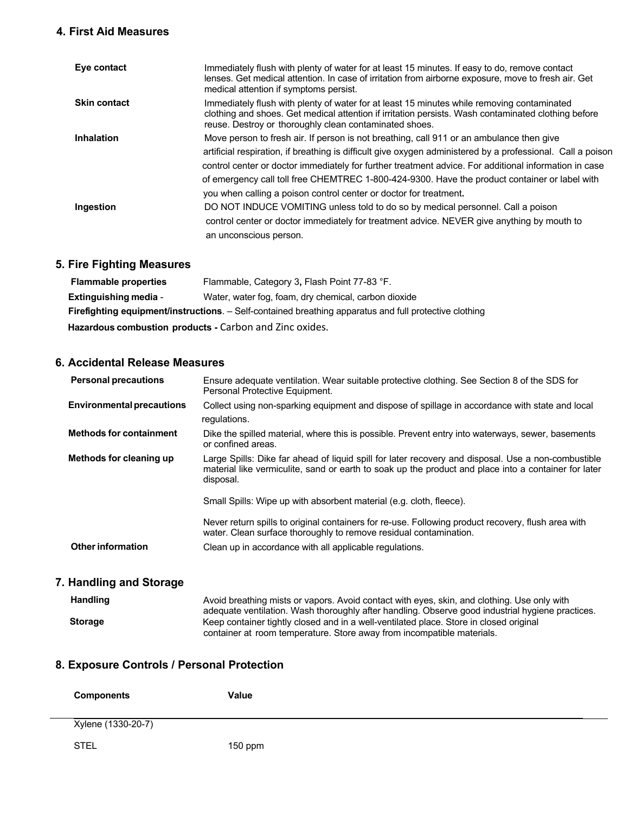## **4. First Aid Measures**

| Eye contact         | Immediately flush with plenty of water for at least 15 minutes. If easy to do, remove contact<br>lenses. Get medical attention. In case of irritation from airborne exposure, move to fresh air. Get<br>medical attention if symptoms persist.                                                                                                                                                                                                                                         |
|---------------------|----------------------------------------------------------------------------------------------------------------------------------------------------------------------------------------------------------------------------------------------------------------------------------------------------------------------------------------------------------------------------------------------------------------------------------------------------------------------------------------|
| <b>Skin contact</b> | Immediately flush with plenty of water for at least 15 minutes while removing contaminated<br>clothing and shoes. Get medical attention if irritation persists. Wash contaminated clothing before<br>reuse. Destroy or thoroughly clean contaminated shoes.                                                                                                                                                                                                                            |
| <b>Inhalation</b>   | Move person to fresh air. If person is not breathing, call 911 or an ambulance then give<br>artificial respiration, if breathing is difficult give oxygen administered by a professional. Call a poison<br>control center or doctor immediately for further treatment advice. For additional information in case<br>of emergency call toll free CHEMTREC 1-800-424-9300. Have the product container or label with<br>you when calling a poison control center or doctor for treatment. |
| Ingestion           | DO NOT INDUCE VOMITING unless told to do so by medical personnel. Call a poison<br>control center or doctor immediately for treatment advice. NEVER give anything by mouth to<br>an unconscious person.                                                                                                                                                                                                                                                                                |

# **5. Fire Fighting Measures**

| <b>Flammable properties</b>                                                                                   | Flammable, Category 3, Flash Point 77-83 °F. |  |
|---------------------------------------------------------------------------------------------------------------|----------------------------------------------|--|
| <b>Extinguishing media -</b><br>Water, water fog, foam, dry chemical, carbon dioxide                          |                                              |  |
| <b>Firefighting equipment/instructions.</b> – Self-contained breathing apparatus and full protective clothing |                                              |  |
| Hazardous combustion products - Carbon and Zinc oxides.                                                       |                                              |  |

## **6. Accidental Release Measures**

| <b>Personal precautions</b>      | Ensure adequate ventilation. Wear suitable protective clothing. See Section 8 of the SDS for<br>Personal Protective Equipment.                                                                                           |
|----------------------------------|--------------------------------------------------------------------------------------------------------------------------------------------------------------------------------------------------------------------------|
| <b>Environmental precautions</b> | Collect using non-sparking equipment and dispose of spillage in accordance with state and local<br>regulations.                                                                                                          |
| <b>Methods for containment</b>   | Dike the spilled material, where this is possible. Prevent entry into waterways, sewer, basements<br>or confined areas.                                                                                                  |
| Methods for cleaning up          | Large Spills: Dike far ahead of liquid spill for later recovery and disposal. Use a non-combustible<br>material like vermiculite, sand or earth to soak up the product and place into a container for later<br>disposal. |
|                                  | Small Spills: Wipe up with absorbent material (e.g. cloth, fleece).                                                                                                                                                      |
|                                  | Never return spills to original containers for re-use. Following product recovery, flush area with<br>water. Clean surface thoroughly to remove residual contamination.                                                  |
| Other information                | Clean up in accordance with all applicable regulations.                                                                                                                                                                  |

# **7. Handling and Storage**

| <b>Handling</b> | Avoid breathing mists or vapors. Avoid contact with eyes, skin, and clothing. Use only with<br>adequate ventilation. Wash thoroughly after handling. Observe good industrial hygiene practices. |
|-----------------|-------------------------------------------------------------------------------------------------------------------------------------------------------------------------------------------------|
| <b>Storage</b>  | Keep container tightly closed and in a well-ventilated place. Store in closed original<br>container at room temperature. Store away from incompatible materials.                                |

# **8. Exposure Controls / Personal Protection**

| <b>Components</b> | Value |
|-------------------|-------|
|-------------------|-------|

Xylene (1330-20-7)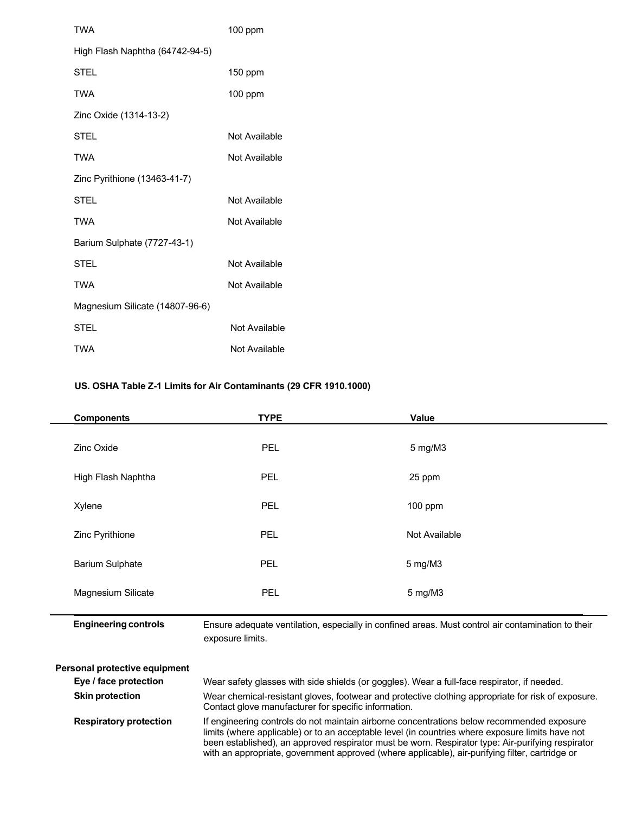| <b>TWA</b>                      | $100$ ppm     |
|---------------------------------|---------------|
| High Flash Naphtha (64742-94-5) |               |
| <b>STEL</b>                     | $150$ ppm     |
| TWA                             | 100 ppm       |
| Zinc Oxide (1314-13-2)          |               |
| STEL                            | Not Available |
| <b>TWA</b>                      | Not Available |
| Zinc Pyrithione (13463-41-7)    |               |
| <b>STEL</b>                     | Not Available |
| <b>TWA</b>                      | Not Available |
| Barium Sulphate (7727-43-1)     |               |
| <b>STEL</b>                     | Not Available |
| <b>TWA</b>                      | Not Available |
| Magnesium Silicate (14807-96-6) |               |
| <b>STEL</b>                     | Not Available |
| TWA                             | Not Available |

## **US. OSHA Table Z-1 Limits for Air Contaminants (29 CFR 1910.1000)**

 $\overline{a}$ 

 $\overline{a}$ 

| <b>Components</b>             | <b>TYPE</b>                                                                                                                                                | Value         |  |
|-------------------------------|------------------------------------------------------------------------------------------------------------------------------------------------------------|---------------|--|
| Zinc Oxide                    | <b>PEL</b>                                                                                                                                                 | 5 mg/M3       |  |
| High Flash Naphtha            | PEL                                                                                                                                                        | 25 ppm        |  |
| Xylene                        | <b>PEL</b>                                                                                                                                                 | $100$ ppm     |  |
| Zinc Pyrithione               | PEL                                                                                                                                                        | Not Available |  |
| <b>Barium Sulphate</b>        | <b>PEL</b>                                                                                                                                                 | 5 mg/M3       |  |
| Magnesium Silicate            | PEL                                                                                                                                                        | 5 mg/M3       |  |
| <b>Engineering controls</b>   | Ensure adequate ventilation, especially in confined areas. Must control air contamination to their<br>exposure limits.                                     |               |  |
| Personal protective equipment |                                                                                                                                                            |               |  |
| Eye / face protection         | Wear safety glasses with side shields (or goggles). Wear a full-face respirator, if needed.                                                                |               |  |
| <b>Skin protection</b>        | Wear chemical-resistant gloves, footwear and protective clothing appropriate for risk of exposure.<br>Contact glove manufacturer for specific information. |               |  |

**Respiratory protection** If engineering controls do not maintain airborne concentrations below recommended exposure limits (where applicable) or to an acceptable level (in countries where exposure limits have not been established), an approved respirator must be worn. Respirator type: Air-purifying respirator with an appropriate, government approved (where applicable), air-purifying filter, cartridge or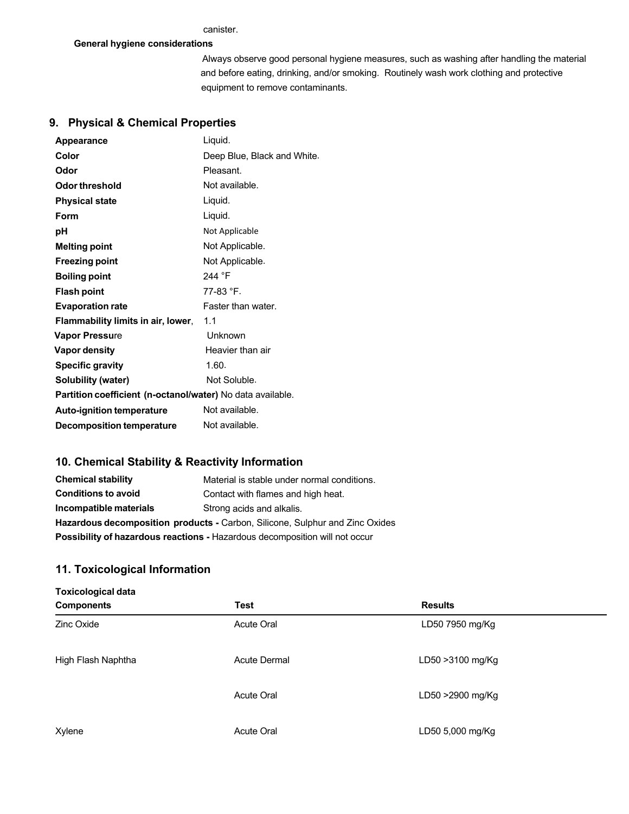#### **General hygiene considerations**

 Always observe good personal hygiene measures, such as washing after handling the material and before eating, drinking, and/or smoking. Routinely wash work clothing and protective equipment to remove contaminants.

# **9. Physical & Chemical Properties**

| Appearance                                                 | Liquid.                     |
|------------------------------------------------------------|-----------------------------|
| Color                                                      | Deep Blue, Black and White. |
| Odor                                                       | Pleasant.                   |
| Odor threshold                                             | Not available.              |
| <b>Physical state</b>                                      | Liquid.                     |
| Form                                                       | Liquid.                     |
| рH                                                         | Not Applicable              |
| <b>Melting point</b>                                       | Not Applicable.             |
| <b>Freezing point</b>                                      | Not Applicable.             |
| <b>Boiling point</b>                                       | 244 °F                      |
| <b>Flash point</b>                                         | 77-83 °F.                   |
| <b>Evaporation rate</b>                                    | Faster than water.          |
| Flammability limits in air, lower,                         | 1.1                         |
| <b>Vapor Pressure</b>                                      | Unknown                     |
| Vapor density                                              | Heavier than air            |
| <b>Specific gravity</b>                                    | 1.60.                       |
| Solubility (water)                                         | Not Soluble.                |
| Partition coefficient (n-octanol/water) No data available. |                             |
| <b>Auto-ignition temperature</b>                           | Not available.              |
| <b>Decomposition temperature</b>                           | Not available.              |

## **10. Chemical Stability & Reactivity Information**

| <b>Chemical stability</b>                                                          | Material is stable under normal conditions. |
|------------------------------------------------------------------------------------|---------------------------------------------|
| <b>Conditions to avoid</b>                                                         | Contact with flames and high heat.          |
| Incompatible materials                                                             | Strong acids and alkalis.                   |
| Hazardous decomposition products - Carbon, Silicone, Sulphur and Zinc Oxides       |                                             |
| <b>Possibility of hazardous reactions - Hazardous decomposition will not occur</b> |                                             |

### **11. Toxicological Information**

| <b>Toxicological data</b> |                     |                   |
|---------------------------|---------------------|-------------------|
| <b>Components</b>         | <b>Test</b>         | <b>Results</b>    |
| Zinc Oxide                | Acute Oral          | LD50 7950 mg/Kg   |
| High Flash Naphtha        | <b>Acute Dermal</b> | LD50 > 3100 mg/Kg |
|                           | Acute Oral          | LD50 >2900 mg/Kg  |
| Xylene                    | <b>Acute Oral</b>   | LD50 5,000 mg/Kg  |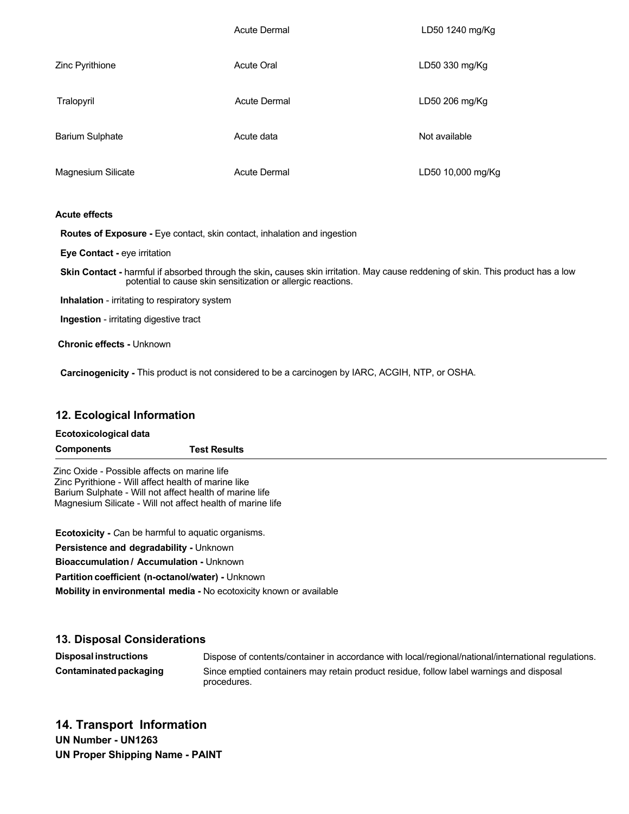|                        | <b>Acute Dermal</b> | LD50 1240 mg/Kg   |
|------------------------|---------------------|-------------------|
| Zinc Pyrithione        | <b>Acute Oral</b>   | LD50 330 mg/Kg    |
| Tralopyril             | <b>Acute Dermal</b> | LD50 206 mg/Kg    |
| <b>Barium Sulphate</b> | Acute data          | Not available     |
| Magnesium Silicate     | <b>Acute Dermal</b> | LD50 10,000 mg/Kg |

#### **Acute effects**

 **Routes of Exposure -** Eye contact, skin contact, inhalation and ingestion

 **Eye Contact -** eye irritation

 **Skin Contact -** harmful if absorbed through the skin**,** causes skin irritation. May cause reddening of skin. This product has a low potential to cause skin sensitization or allergic reactions.

**Inhalation** - irritating to respiratory system

 **Ingestion** - irritating digestive tract

**Chronic effects -** Unknown

 **Carcinogenicity -** This product is not considered to be a carcinogen by IARC, ACGIH, NTP, or OSHA.

### **12. Ecological Information**

#### **Ecotoxicological data**

| Components | <b>Test Results</b> |
|------------|---------------------|
|            |                     |

 Zinc Oxide - Possible affects on marine life Zinc Pyrithione - Will affect health of marine like Barium Sulphate - Will not affect health of marine life Magnesium Silicate - Will not affect health of marine life

**Ecotoxicity -** *C*an be harmful to aquatic organisms.

**Persistence and degradability -** Unknown

**Bioaccumulation / Accumulation -** Unknown

**Partition coefficient (n-octanol/water) -** Unknown

**Mobility in environmental media -** No ecotoxicity known or available

### **13. Disposal Considerations**

**Disposal instructions** Dispose of contents/container in accordance with local/regional/national/international regulations. **Contaminatedpackaging** Since emptied containers may retain product residue, follow label warnings and disposal procedures.